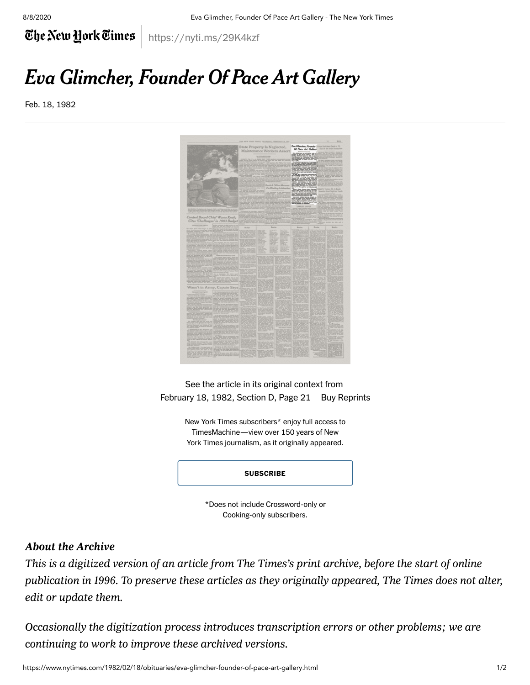8/8/2020 Eva Glimcher, Founder Of Pace Art Gallery - The New York Times

The New York Times

## Eva Glimcher, Founder Of Pace Art Gallery

https://nyti.ms/29K4kzf

Feb. 18, 1982



See the article in its original context from February 18, 1982, Section D, Page 21 [Buy Reprints](https://store.nytimes.com/collections/new-york-times-page-reprints?utm_source=nytimes&utm_medium=article-page&utm_campaign=reprints)

> New York Times subscribers\* enjoy full access to TimesMachine—view over 150 years of New York Times journalism, as it originally appeared.

## **[SUBSCRIBE](https://www.nytimes.com/subscription/multiproduct/lp8HYKU.html?campaignId=4KKHF)**

\*Does not include Crossword-only or Cooking-only subscribers.

## About the Archive

*This is a digitized version of an article from The Times's print archive, before the start of online publication in 1996. To preserve these articles as they originally appeared, The Times does not alter, edit or update them.*

*Occasionally the digitization process introduces transcription errors or other problems; we are continuing to work to improve these archived versions.*